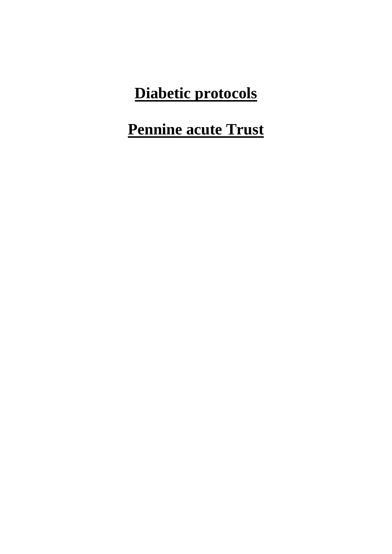## **Diabetic protocols**

## **Pennine acute Trust**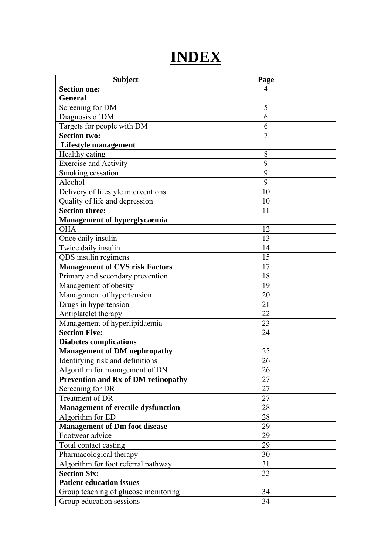## **INDEX**

| <b>Subject</b>                             | Page           |
|--------------------------------------------|----------------|
| <b>Section one:</b>                        | 4              |
| <b>General</b>                             |                |
| Screening for DM                           | 5              |
| Diagnosis of DM                            | 6              |
| Targets for people with DM                 | 6              |
| <b>Section two:</b>                        | $\overline{7}$ |
| Lifestyle management                       |                |
| Healthy eating                             | 8              |
| <b>Exercise and Activity</b>               | 9              |
| Smoking cessation                          | 9              |
| Alcohol                                    | 9              |
| Delivery of lifestyle interventions        | 10             |
| Quality of life and depression             | 10             |
| <b>Section three:</b>                      | 11             |
| Management of hyperglycaemia               |                |
| <b>OHA</b>                                 | 12             |
| Once daily insulin                         | 13             |
| Twice daily insulin                        | 14             |
| QDS insulin regimens                       | 15             |
| <b>Management of CVS risk Factors</b>      | 17             |
| Primary and secondary prevention           | 18             |
| Management of obesity                      | 19             |
| Management of hypertension                 | 20             |
| Drugs in hypertension                      | 21             |
| Antiplatelet therapy                       | 22             |
| Management of hyperlipidaemia              | 23             |
| <b>Section Five:</b>                       | 24             |
| <b>Diabetes complications</b>              |                |
| <b>Management of DM nephropathy</b>        | 25             |
| Identifying risk and definitions           | 26             |
| Algorithm for management of DN             | 26             |
| <b>Prevention and Rx of DM retinopathy</b> | 27             |
| Screening for DR                           | 27             |
| Treatment of DR                            | 27             |
| <b>Management of erectile dysfunction</b>  | 28             |
| Algorithm for ED                           | 28             |
| <b>Management of Dm foot disease</b>       | 29             |
| Footwear advice                            | 29             |
| Total contact casting                      | 29             |
| Pharmacological therapy                    | 30             |
| Algorithm for foot referral pathway        | 31             |
| <b>Section Six:</b>                        | 33             |
| <b>Patient education issues</b>            |                |
| Group teaching of glucose monitoring       | 34             |
| Group education sessions                   | 34             |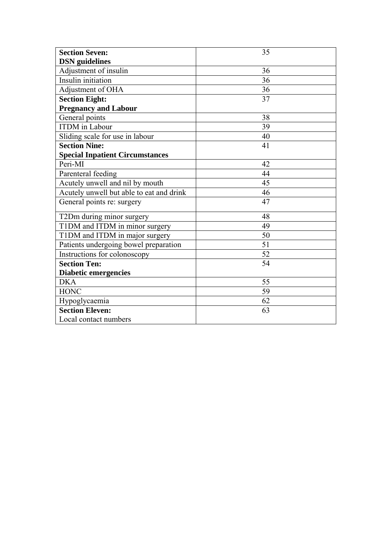| <b>Section Seven:</b>                    | 35 |
|------------------------------------------|----|
| <b>DSN</b> guidelines                    |    |
| Adjustment of insulin                    | 36 |
| Insulin initiation                       | 36 |
| Adjustment of OHA                        | 36 |
| <b>Section Eight:</b>                    | 37 |
| <b>Pregnancy and Labour</b>              |    |
| General points                           | 38 |
| <b>ITDM</b> in Labour                    | 39 |
| Sliding scale for use in labour          | 40 |
| <b>Section Nine:</b>                     | 41 |
| <b>Special Inpatient Circumstances</b>   |    |
| Peri-MI                                  | 42 |
| Parenteral feeding                       | 44 |
| Acutely unwell and nil by mouth          | 45 |
| Acutely unwell but able to eat and drink | 46 |
| General points re: surgery               | 47 |
| T2Dm during minor surgery                | 48 |
| T1DM and ITDM in minor surgery           | 49 |
| T1DM and ITDM in major surgery           | 50 |
| Patients undergoing bowel preparation    | 51 |
| Instructions for colonoscopy             | 52 |
| <b>Section Ten:</b>                      | 54 |
| <b>Diabetic emergencies</b>              |    |
| <b>DKA</b>                               | 55 |
| <b>HONC</b>                              | 59 |
| Hypoglycaemia                            | 62 |
| <b>Section Eleven:</b>                   | 63 |
| Local contact numbers                    |    |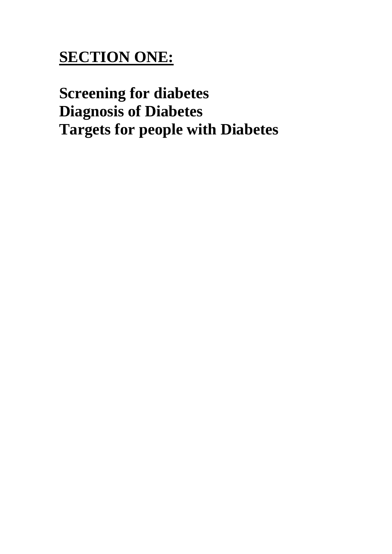# **SECTION ONE:**

**Screening for diabetes Diagnosis of Diabetes Targets for people with Diabetes**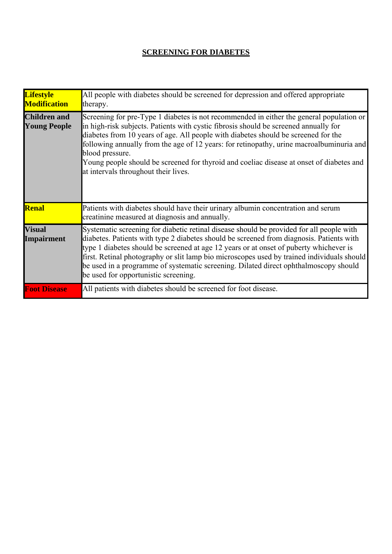## **SCREENING FOR DIABETES**

| <b>Lifestyle</b><br><b>Modification</b>    | All people with diabetes should be screened for depression and offered appropriate<br>therapy.                                                                                                                                                                                                                                                                                                                                                                                                                            |
|--------------------------------------------|---------------------------------------------------------------------------------------------------------------------------------------------------------------------------------------------------------------------------------------------------------------------------------------------------------------------------------------------------------------------------------------------------------------------------------------------------------------------------------------------------------------------------|
| <b>Children and</b><br><b>Young People</b> | Screening for pre-Type 1 diabetes is not recommended in either the general population or<br>in high-risk subjects. Patients with cystic fibrosis should be screened annually for<br>diabetes from 10 years of age. All people with diabetes should be screened for the<br>following annually from the age of 12 years: for retinopathy, urine macroalbuminuria and<br>blood pressure.<br>Young people should be screened for thyroid and coeliac disease at onset of diabetes and<br>at intervals throughout their lives. |
| <b>Renal</b>                               | Patients with diabetes should have their urinary albumin concentration and serum<br>creatinine measured at diagnosis and annually.                                                                                                                                                                                                                                                                                                                                                                                        |
| <b>Visual</b><br><b>Impairment</b>         | Systematic screening for diabetic retinal disease should be provided for all people with<br>diabetes. Patients with type 2 diabetes should be screened from diagnosis. Patients with<br>type 1 diabetes should be screened at age 12 years or at onset of puberty whichever is<br>first. Retinal photography or slit lamp bio microscopes used by trained individuals should<br>be used in a programme of systematic screening. Dilated direct ophthalmoscopy should<br>be used for opportunistic screening.              |
| <b>Foot Disease</b>                        | All patients with diabetes should be screened for foot disease.                                                                                                                                                                                                                                                                                                                                                                                                                                                           |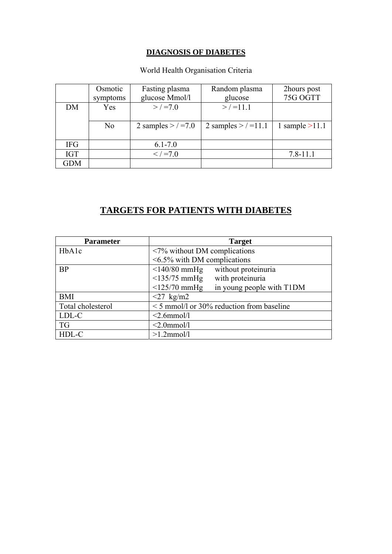## **DIAGNOSIS OF DIABETES**

## World Health Organisation Criteria

|            | Osmotic<br>symptoms | Fasting plasma<br>glucose Mmol/l | Random plasma<br>glucose | 2hours post<br>75G OGTT |
|------------|---------------------|----------------------------------|--------------------------|-------------------------|
| DM         | Yes                 | $>$ / =7.0                       | $>$ / =11.1              |                         |
|            | N <sub>0</sub>      | 2 samples $>$ / =7.0             | 2 samples $>$ / = 11.1   | 1 sample $>11.1$        |
| <b>IFG</b> |                     | $6.1 - 7.0$                      |                          |                         |
| <b>IGT</b> |                     | $\frac{2}{5}$ / =7.0             |                          | $7.8 - 11.1$            |
| <b>GDM</b> |                     |                                  |                          |                         |

## **TARGETS FOR PATIENTS WITH DIABETES**

| <b>Parameter</b>   | <b>Target</b>                                   |  |  |  |  |
|--------------------|-------------------------------------------------|--|--|--|--|
| HbA <sub>1</sub> c | $\langle 7\%$ without DM complications          |  |  |  |  |
|                    | $\leq 6.5\%$ with DM complications              |  |  |  |  |
| <b>BP</b>          | without proteinuria<br>$\leq$ 140/80 mmHg       |  |  |  |  |
|                    | $\leq$ 135/75 mmHg<br>with proteinuria          |  |  |  |  |
|                    | in young people with T1DM<br>$\leq$ 125/70 mmHg |  |  |  |  |
| <b>BMI</b>         | $\langle 27 \text{ kg/m2} \rangle$              |  |  |  |  |
| Total cholesterol  | $\leq$ 5 mmol/l or 30% reduction from baseline  |  |  |  |  |
| LDL-C              | $<$ 2.6mmol/l                                   |  |  |  |  |
| <b>TG</b>          | $<$ 2.0mmol/l                                   |  |  |  |  |
| HDL-C              | $>1.2$ mmol/l                                   |  |  |  |  |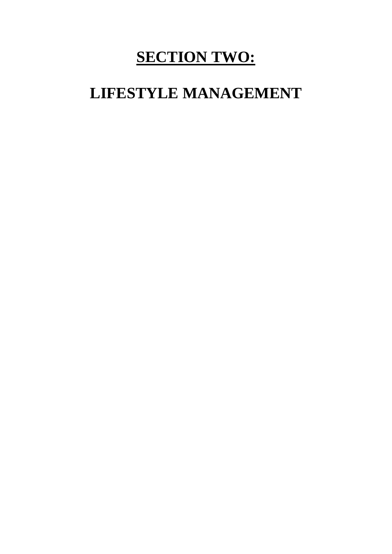## **SECTION TWO:**

## **LIFESTYLE MANAGEMENT**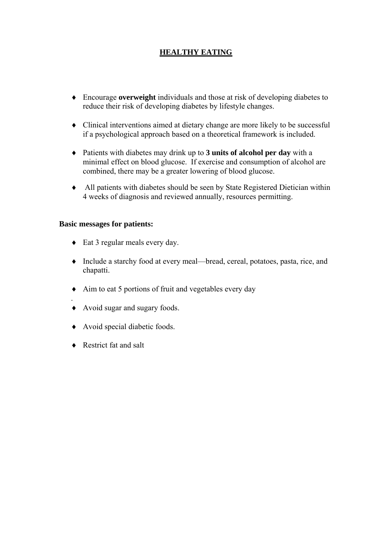## **HEALTHY EATING**

- ♦ Encourage **overweight** individuals and those at risk of developing diabetes to reduce their risk of developing diabetes by lifestyle changes.
- ♦ Clinical interventions aimed at dietary change are more likely to be successful if a psychological approach based on a theoretical framework is included.
- ♦ Patients with diabetes may drink up to **3 units of alcohol per day** with a minimal effect on blood glucose. If exercise and consumption of alcohol are combined, there may be a greater lowering of blood glucose.
- ♦ All patients with diabetes should be seen by State Registered Dietician within 4 weeks of diagnosis and reviewed annually, resources permitting.

#### **Basic messages for patients:**

- ♦ Eat 3 regular meals every day.
- ♦ Include a starchy food at every meal—bread, cereal, potatoes, pasta, rice, and chapatti.
- ♦ Aim to eat 5 portions of fruit and vegetables every day
- . ♦ Avoid sugar and sugary foods.
- ♦ Avoid special diabetic foods.
- ♦ Restrict fat and salt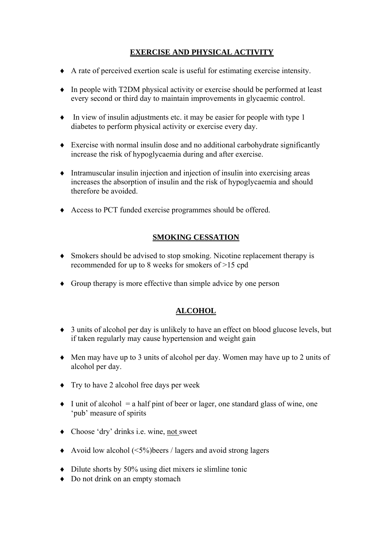## **EXERCISE AND PHYSICAL ACTIVITY**

- ♦ A rate of perceived exertion scale is useful for estimating exercise intensity.
- ♦ In people with T2DM physical activity or exercise should be performed at least every second or third day to maintain improvements in glycaemic control.
- ♦ In view of insulin adjustments etc. it may be easier for people with type 1 diabetes to perform physical activity or exercise every day.
- ♦ Exercise with normal insulin dose and no additional carbohydrate significantly increase the risk of hypoglycaemia during and after exercise.
- ♦ Intramuscular insulin injection and injection of insulin into exercising areas increases the absorption of insulin and the risk of hypoglycaemia and should therefore be avoided.
- ♦ Access to PCT funded exercise programmes should be offered.

## **SMOKING CESSATION**

- ♦ Smokers should be advised to stop smoking. Nicotine replacement therapy is recommended for up to 8 weeks for smokers of >15 cpd
- ♦ Group therapy is more effective than simple advice by one person

## **ALCOHOL**

- ♦ 3 units of alcohol per day is unlikely to have an effect on blood glucose levels, but if taken regularly may cause hypertension and weight gain
- ♦ Men may have up to 3 units of alcohol per day. Women may have up to 2 units of alcohol per day.
- ♦ Try to have 2 alcohol free days per week
- $\bullet$  I unit of alcohol = a half pint of beer or lager, one standard glass of wine, one 'pub' measure of spirits
- ♦ Choose 'dry' drinks i.e. wine, not sweet
- ♦ Avoid low alcohol (<5%)beers / lagers and avoid strong lagers
- ♦ Dilute shorts by 50% using diet mixers ie slimline tonic
- Do not drink on an empty stomach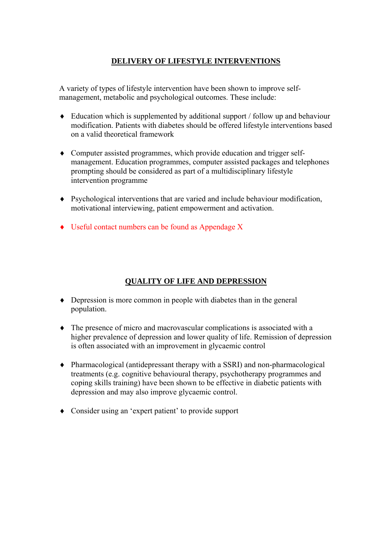## **DELIVERY OF LIFESTYLE INTERVENTIONS**

A variety of types of lifestyle intervention have been shown to improve selfmanagement, metabolic and psychological outcomes. These include:

- $\bullet$  Education which is supplemented by additional support / follow up and behaviour modification. Patients with diabetes should be offered lifestyle interventions based on a valid theoretical framework
- ♦ Computer assisted programmes, which provide education and trigger selfmanagement. Education programmes, computer assisted packages and telephones prompting should be considered as part of a multidisciplinary lifestyle intervention programme
- ♦ Psychological interventions that are varied and include behaviour modification, motivational interviewing, patient empowerment and activation.
- ♦ Useful contact numbers can be found as Appendage X

## **QUALITY OF LIFE AND DEPRESSION**

- ♦ Depression is more common in people with diabetes than in the general population.
- ♦ The presence of micro and macrovascular complications is associated with a higher prevalence of depression and lower quality of life. Remission of depression is often associated with an improvement in glycaemic control
- ♦ Pharmacological (antidepressant therapy with a SSRI) and non-pharmacological treatments (e.g. cognitive behavioural therapy, psychotherapy programmes and coping skills training) have been shown to be effective in diabetic patients with depression and may also improve glycaemic control.
- ♦ Consider using an 'expert patient' to provide support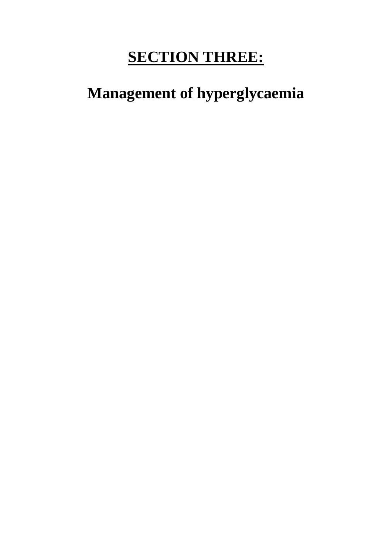# **SECTION THREE:**

# **Management of hyperglycaemia**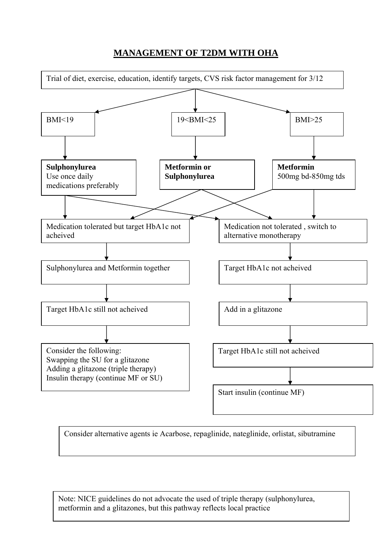## **MANAGEMENT OF T2DM WITH OHA**



Consider alternative agents ie Acarbose, repaglinide, nateglinide, orlistat, sibutramine

Note: NICE guidelines do not advocate the used of triple therapy (sulphonylurea, metformin and a glitazones, but this pathway reflects local practice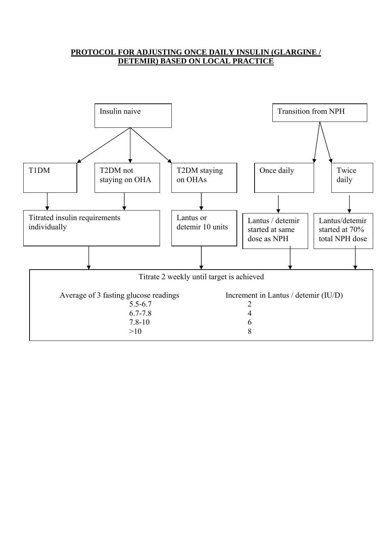## **PROTOCOL FOR ADJUSTING ONCE DAILY INSULIN (GLARGINE / DETEMIR) BASED ON LOCAL PRACTICE**

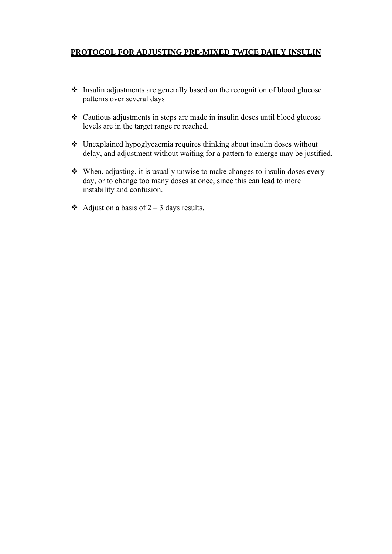## **PROTOCOL FOR ADJUSTING PRE-MIXED TWICE DAILY INSULIN**

- Insulin adjustments are generally based on the recognition of blood glucose patterns over several days
- Cautious adjustments in steps are made in insulin doses until blood glucose levels are in the target range re reached.
- Unexplained hypoglycaemia requires thinking about insulin doses without delay, and adjustment without waiting for a pattern to emerge may be justified.
- When, adjusting, it is usually unwise to make changes to insulin doses every day, or to change too many doses at once, since this can lead to more instability and confusion.
- Adjust on a basis of  $2 3$  days results.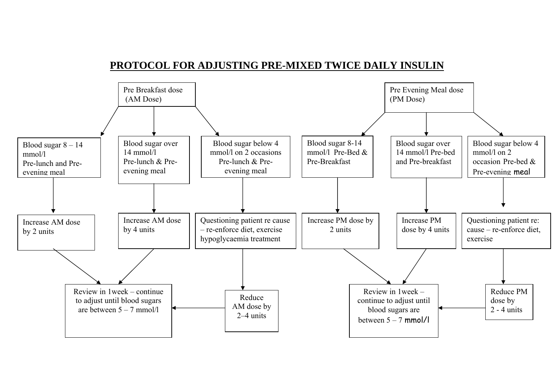## **PROTOCOL FOR ADJUSTING PRE-MIXED TWICE DAILY INSULIN**

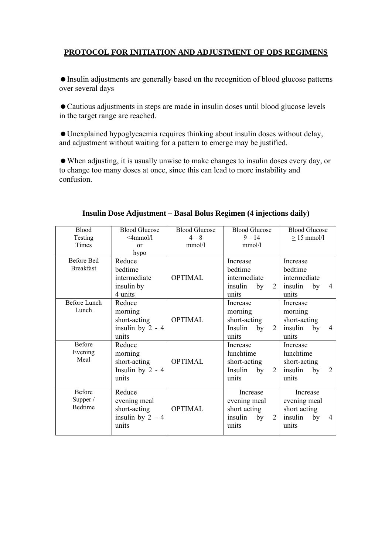## **PROTOCOL FOR INITIATION AND ADJUSTMENT OF QDS REGIMENS**

 Insulin adjustments are generally based on the recognition of blood glucose patterns over several days

 Cautious adjustments in steps are made in insulin doses until blood glucose levels in the target range are reached.

 Unexplained hypoglycaemia requires thinking about insulin doses without delay, and adjustment without waiting for a pattern to emerge may be justified.

 When adjusting, it is usually unwise to make changes to insulin doses every day, or to change too many doses at once, since this can lead to more instability and confusion.

| <b>Blood</b>                                                   | <b>Blood Glucose</b>                                                                                                                          | <b>Blood Glucose</b> | <b>Blood Glucose</b>                                                                                                        | <b>Blood Glucose</b>                                                                                      |
|----------------------------------------------------------------|-----------------------------------------------------------------------------------------------------------------------------------------------|----------------------|-----------------------------------------------------------------------------------------------------------------------------|-----------------------------------------------------------------------------------------------------------|
| Testing                                                        | $\leq$ 4mmol/1                                                                                                                                | $4 - 8$              | $9 - 14$                                                                                                                    | $\geq$ 15 mmol/l                                                                                          |
| Times                                                          | or                                                                                                                                            | mmol/l               | mmol/l                                                                                                                      |                                                                                                           |
|                                                                | hypo                                                                                                                                          |                      |                                                                                                                             |                                                                                                           |
| <b>Before Bed</b>                                              | Reduce                                                                                                                                        |                      | Increase                                                                                                                    | Increase                                                                                                  |
| <b>Breakfast</b>                                               | bedtime                                                                                                                                       |                      | bedtime                                                                                                                     | bedtime                                                                                                   |
|                                                                | intermediate                                                                                                                                  | <b>OPTIMAL</b>       | intermediate                                                                                                                | intermediate                                                                                              |
|                                                                |                                                                                                                                               |                      | 2                                                                                                                           | $\overline{4}$                                                                                            |
|                                                                | 4 units                                                                                                                                       |                      | units                                                                                                                       | units                                                                                                     |
| <b>Before Lunch</b>                                            | Reduce                                                                                                                                        |                      | Increase                                                                                                                    | Increase                                                                                                  |
| Lunch                                                          | morning                                                                                                                                       |                      | morning                                                                                                                     | morning                                                                                                   |
|                                                                | short-acting                                                                                                                                  | <b>OPTIMAL</b>       | short-acting                                                                                                                | short-acting                                                                                              |
|                                                                |                                                                                                                                               |                      | Insulin<br>2<br>by                                                                                                          | insulin<br>by<br>4                                                                                        |
|                                                                | units                                                                                                                                         |                      | units                                                                                                                       | units                                                                                                     |
| Before                                                         | Reduce                                                                                                                                        |                      | Increase                                                                                                                    | Increase                                                                                                  |
|                                                                | morning                                                                                                                                       |                      | lunchtime                                                                                                                   | lunchtime                                                                                                 |
|                                                                |                                                                                                                                               | <b>OPTIMAL</b>       |                                                                                                                             |                                                                                                           |
|                                                                |                                                                                                                                               |                      | 2<br>Insulin                                                                                                                | $\overline{2}$<br>insulin                                                                                 |
|                                                                | units                                                                                                                                         |                      | units                                                                                                                       | units                                                                                                     |
|                                                                |                                                                                                                                               |                      |                                                                                                                             |                                                                                                           |
|                                                                |                                                                                                                                               |                      |                                                                                                                             |                                                                                                           |
|                                                                |                                                                                                                                               |                      |                                                                                                                             |                                                                                                           |
|                                                                |                                                                                                                                               |                      |                                                                                                                             |                                                                                                           |
|                                                                |                                                                                                                                               |                      |                                                                                                                             | $\overline{4}$                                                                                            |
|                                                                |                                                                                                                                               |                      |                                                                                                                             |                                                                                                           |
| Evening<br>Meal<br><b>Before</b><br>Supper /<br><b>Bedtime</b> | insulin by<br>insulin by 2 - 4<br>short-acting<br>Insulin by $2 - 4$<br>Reduce<br>evening meal<br>short-acting<br>insulin by $2 - 4$<br>units | <b>OPTIMAL</b>       | insulin<br>by<br>short-acting<br>by<br>Increase<br>evening meal<br>short acting<br>$\overline{2}$<br>insulin<br>by<br>units | insulin<br>by<br>short-acting<br>by<br>Increase<br>evening meal<br>short acting<br>insulin<br>by<br>units |

#### **Insulin Dose Adjustment – Basal Bolus Regimen (4 injections daily)**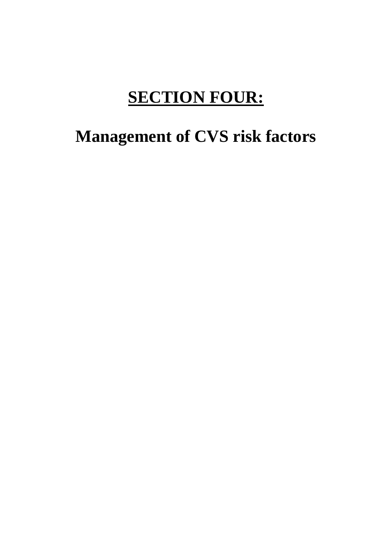# **SECTION FOUR:**

# **Management of CVS risk factors**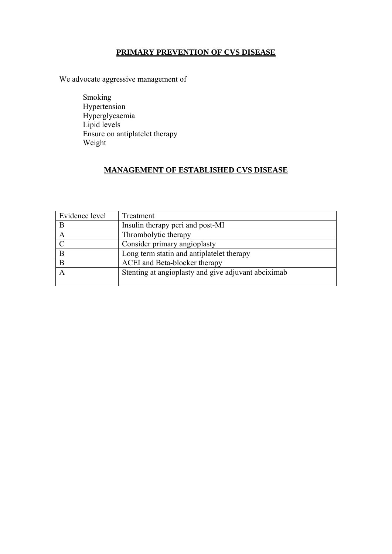## **PRIMARY PREVENTION OF CVS DISEASE**

We advocate aggressive management of

 Smoking Hypertension Hyperglycaemia Lipid levels Ensure on antiplatelet therapy Weight

## **MANAGEMENT OF ESTABLISHED CVS DISEASE**

| Evidence level | Treatment                                           |
|----------------|-----------------------------------------------------|
|                | Insulin therapy peri and post-MI                    |
|                | Thrombolytic therapy                                |
|                | Consider primary angioplasty                        |
| B              | Long term statin and antiplatelet therapy           |
|                | ACEI and Beta-blocker therapy                       |
|                | Stenting at angioplasty and give adjuvant abciximab |
|                |                                                     |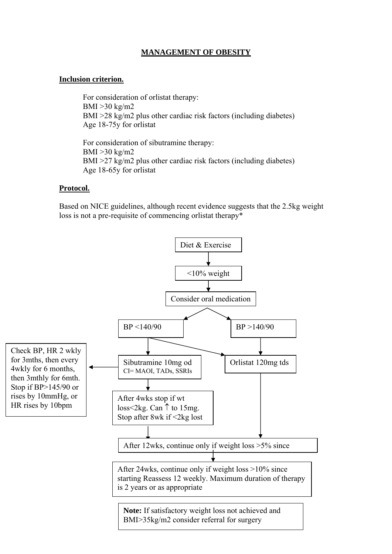## **MANAGEMENT OF OBESITY**

### **Inclusion criterion.**

 For consideration of orlistat therapy: BMI >30 kg/m2 BMI >28 kg/m2 plus other cardiac risk factors (including diabetes) Age 18-75y for orlistat

 For consideration of sibutramine therapy: BMI >30 kg/m2 BMI >27 kg/m2 plus other cardiac risk factors (including diabetes) Age 18-65y for orlistat

#### **Protocol.**

Based on NICE guidelines, although recent evidence suggests that the 2.5kg weight loss is not a pre-requisite of commencing orlistat therapy\*

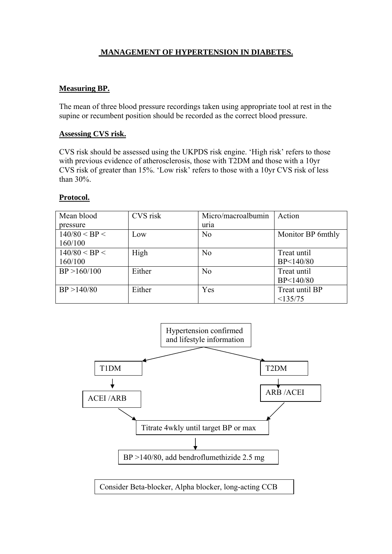## **MANAGEMENT OF HYPERTENSION IN DIABETES.**

## **Measuring BP.**

The mean of three blood pressure recordings taken using appropriate tool at rest in the supine or recumbent position should be recorded as the correct blood pressure.

#### **Assessing CVS risk.**

CVS risk should be assessed using the UKPDS risk engine. 'High risk' refers to those with previous evidence of atherosclerosis, those with T2DM and those with a 10yr CVS risk of greater than 15%. 'Low risk' refers to those with a 10yr CVS risk of less than 30%.

#### **Protocol.**

| Mean blood    | CVS risk | Micro/macroalbumin | Action            |
|---------------|----------|--------------------|-------------------|
| pressure      |          | uria               |                   |
| 140/80 < BP < | Low      | N <sub>0</sub>     | Monitor BP 6mthly |
| 160/100       |          |                    |                   |
| 140/80 < BP < | High     | N <sub>0</sub>     | Treat until       |
| 160/100       |          |                    | BP<140/80         |
| BP > 160/100  | Either   | N <sub>0</sub>     | Treat until       |
|               |          |                    | BP<140/80         |
| BP > 140/80   | Either   | Yes                | Treat until BP    |
|               |          |                    | <135/75           |

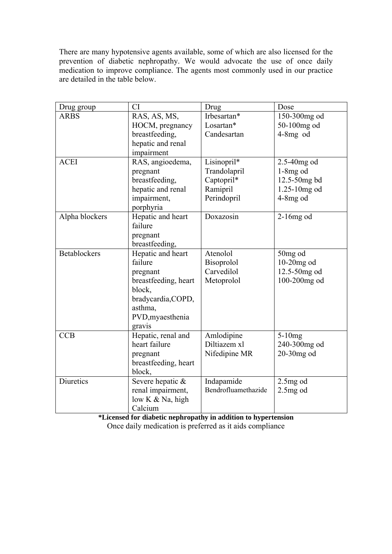There are many hypotensive agents available, some of which are also licensed for the prevention of diabetic nephropathy. We would advocate the use of once daily medication to improve compliance. The agents most commonly used in our practice are detailed in the table below.

| Drug group          | <b>CI</b>            | Drug                | Dose                |
|---------------------|----------------------|---------------------|---------------------|
| <b>ARBS</b>         | RAS, AS, MS,         | Irbesartan*         | 150-300mg od        |
|                     | HOCM, pregnancy      | Losartan*           | 50-100mg od         |
|                     | breastfeeding,       | Candesartan         | $4-8mg$ od          |
|                     | hepatic and renal    |                     |                     |
|                     | impairment           |                     |                     |
| <b>ACEI</b>         | RAS, angioedema,     | Lisinopril*         | 2.5-40mg od         |
|                     | pregnant             | Trandolapril        | $1-8mg$ od          |
|                     | breastfeeding,       | Captopril*          | 12.5-50mg bd        |
|                     | hepatic and renal    | Ramipril            | $1.25-10$ mg od     |
|                     | impairment,          | Perindopril         | $4-8mg$ od          |
|                     | porphyria            |                     |                     |
| Alpha blockers      | Hepatic and heart    | Doxazosin           | $2-16mg$ od         |
|                     | failure              |                     |                     |
|                     | pregnant             |                     |                     |
|                     | breastfeeding,       |                     |                     |
| <b>Betablockers</b> | Hepatic and heart    | Atenolol            | 50 <sub>mg</sub> od |
|                     | failure              | <b>Bisoprolol</b>   | 10-20mg od          |
|                     | pregnant             | Carvedilol          | 12.5-50mg od        |
|                     | breastfeeding, heart | Metoprolol          | 100-200mg od        |
|                     | block,               |                     |                     |
|                     | bradycardia, COPD,   |                     |                     |
|                     | asthma,              |                     |                     |
|                     | PVD, myaes thenia    |                     |                     |
|                     | gravis               |                     |                     |
| <b>CCB</b>          | Hepatic, renal and   | Amlodipine          | $5-10mg$            |
|                     | heart failure        | Diltiazem xl        | 240-300mg od        |
|                     | pregnant             | Nifedipine MR       | 20-30mg od          |
|                     | breastfeeding, heart |                     |                     |
|                     | block,               |                     |                     |
| Diuretics           | Severe hepatic &     | Indapamide          | $2.5mg$ od          |
|                     | renal impairment,    | Bendrofluamethazide | $2.5mg$ od          |
|                     | low K & Na, high     |                     |                     |
|                     | Calcium              |                     |                     |

**\*Licensed for diabetic nephropathy in addition to hypertension**

Once daily medication is preferred as it aids compliance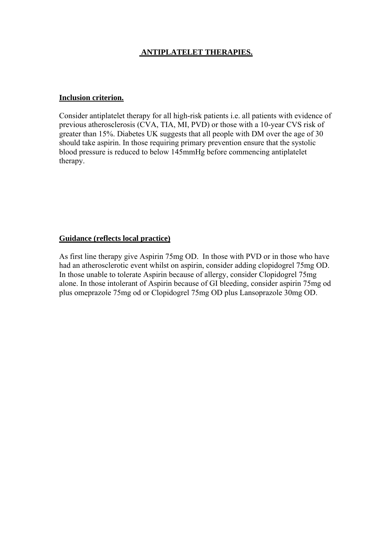## **ANTIPLATELET THERAPIES.**

#### **Inclusion criterion.**

Consider antiplatelet therapy for all high-risk patients i.e. all patients with evidence of previous atherosclerosis (CVA, TIA, MI, PVD) or those with a 10-year CVS risk of greater than 15%. Diabetes UK suggests that all people with DM over the age of 30 should take aspirin. In those requiring primary prevention ensure that the systolic blood pressure is reduced to below 145mmHg before commencing antiplatelet therapy.

## **Guidance (reflects local practice)**

As first line therapy give Aspirin 75mg OD. In those with PVD or in those who have had an atherosclerotic event whilst on aspirin, consider adding clopidogrel 75mg OD. In those unable to tolerate Aspirin because of allergy, consider Clopidogrel 75mg alone. In those intolerant of Aspirin because of GI bleeding, consider aspirin 75mg od plus omeprazole 75mg od or Clopidogrel 75mg OD plus Lansoprazole 30mg OD.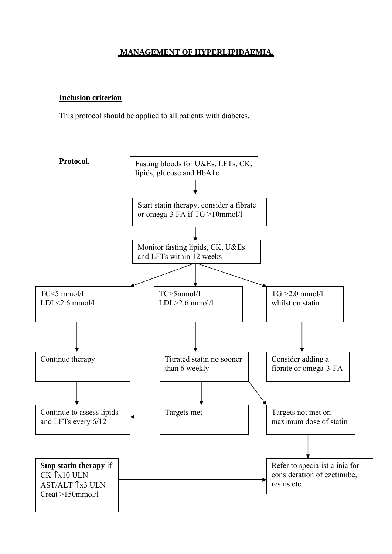## **MANAGEMENT OF HYPERLIPIDAEMIA.**

### **Inclusion criterion**

This protocol should be applied to all patients with diabetes.

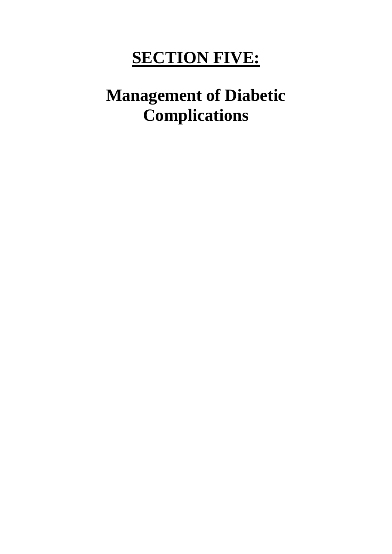# **SECTION FIVE:**

# **Management of Diabetic Complications**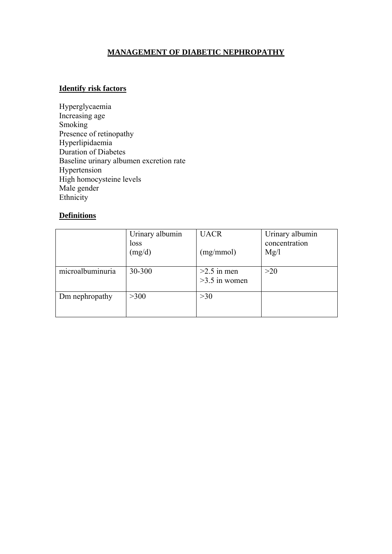## **MANAGEMENT OF DIABETIC NEPHROPATHY**

### **Identify risk factors**

Hyperglycaemia Increasing age Smoking Presence of retinopathy Hyperlipidaemia Duration of Diabetes Baseline urinary albumen excretion rate Hypertension High homocysteine levels Male gender Ethnicity

## **Definitions**

|                  | Urinary albumin<br>loss<br>(mg/d) | <b>UACR</b><br>(mg/mmol)         | Urinary albumin<br>concentration<br>Mg/l |
|------------------|-----------------------------------|----------------------------------|------------------------------------------|
| microalbuminuria | 30-300                            | $>2.5$ in men<br>$>3.5$ in women | >20                                      |
| Dm nephropathy   | >300                              | >30                              |                                          |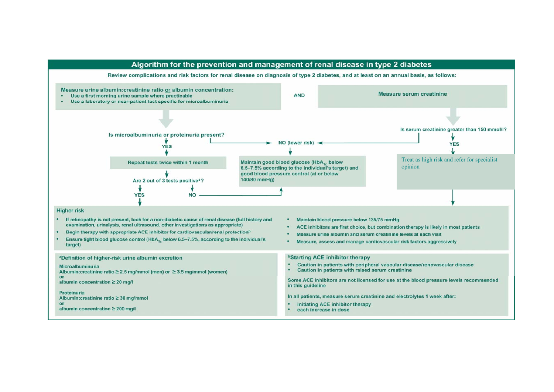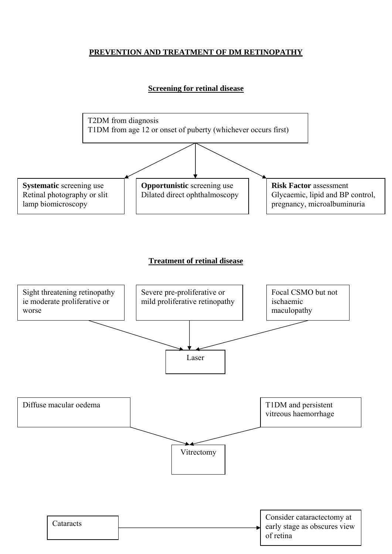## **PREVENTION AND TREATMENT OF DM RETINOPATHY**

## **Screening for retinal disease**

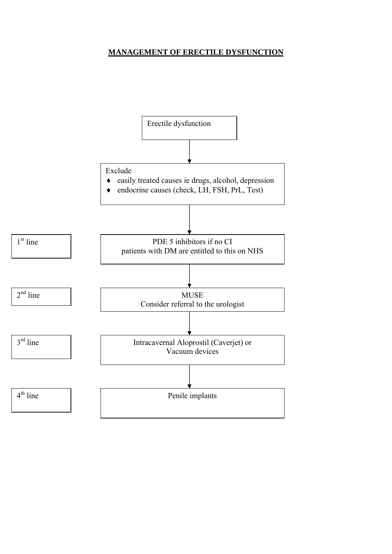## **MANAGEMENT OF ERECTILE DYSFUNCTION**

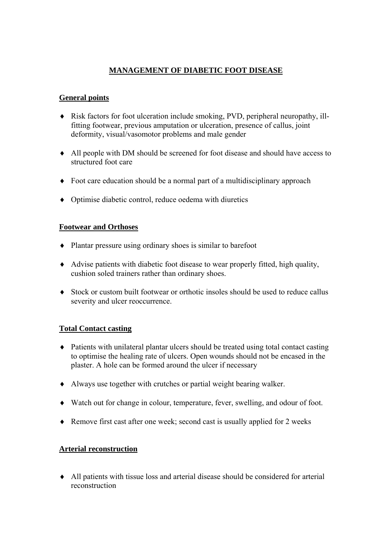## **MANAGEMENT OF DIABETIC FOOT DISEASE**

## **General points**

- ♦ Risk factors for foot ulceration include smoking, PVD, peripheral neuropathy, illfitting footwear, previous amputation or ulceration, presence of callus, joint deformity, visual/vasomotor problems and male gender
- ♦ All people with DM should be screened for foot disease and should have access to structured foot care
- ♦ Foot care education should be a normal part of a multidisciplinary approach
- ♦ Optimise diabetic control, reduce oedema with diuretics

## **Footwear and Orthoses**

- ♦ Plantar pressure using ordinary shoes is similar to barefoot
- ♦ Advise patients with diabetic foot disease to wear properly fitted, high quality, cushion soled trainers rather than ordinary shoes.
- ♦ Stock or custom built footwear or orthotic insoles should be used to reduce callus severity and ulcer reoccurrence.

## **Total Contact casting**

- ♦ Patients with unilateral plantar ulcers should be treated using total contact casting to optimise the healing rate of ulcers. Open wounds should not be encased in the plaster. A hole can be formed around the ulcer if necessary
- ♦ Always use together with crutches or partial weight bearing walker.
- ♦ Watch out for change in colour, temperature, fever, swelling, and odour of foot.
- ♦ Remove first cast after one week; second cast is usually applied for 2 weeks

## **Arterial reconstruction**

♦ All patients with tissue loss and arterial disease should be considered for arterial reconstruction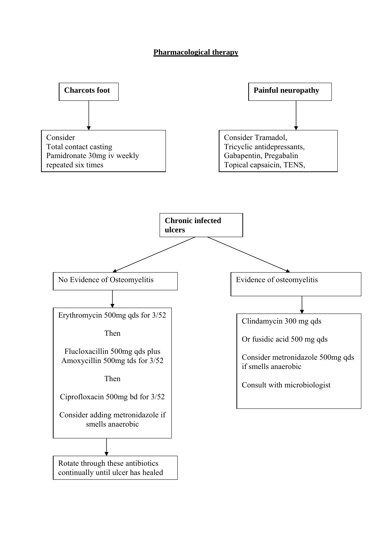### **Pharmacological therapy**

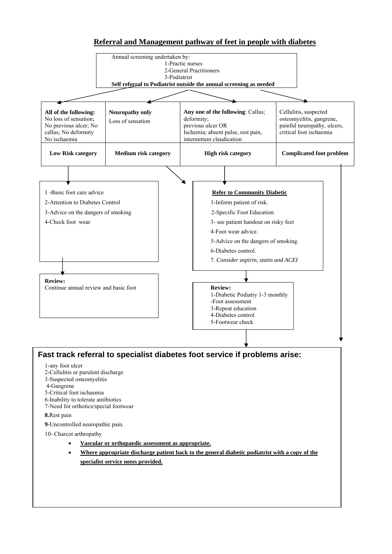#### **Referral and Management pathway of feet in people with diabetes**

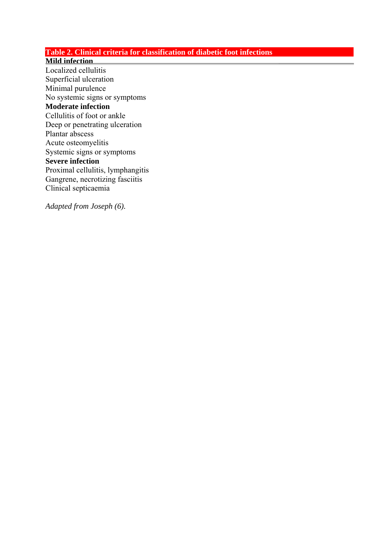## **Table 2. Clinical criteria for classification of diabetic foot infections**

#### **Mild infection**

Localized cellulitis Superficial ulceration Minimal purulence No systemic signs or symptoms **Moderate infection** Cellulitis of foot or ankle Deep or penetrating ulceration Plantar abscess Acute osteomyelitis Systemic signs or symptoms **Severe infection** Proximal cellulitis, lymphangitis Gangrene, necrotizing fasciitis Clinical septicaemia

*Adapted from Joseph (6).*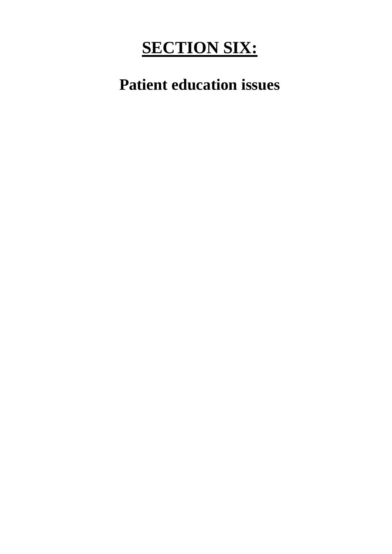# **SECTION SIX:**

**Patient education issues**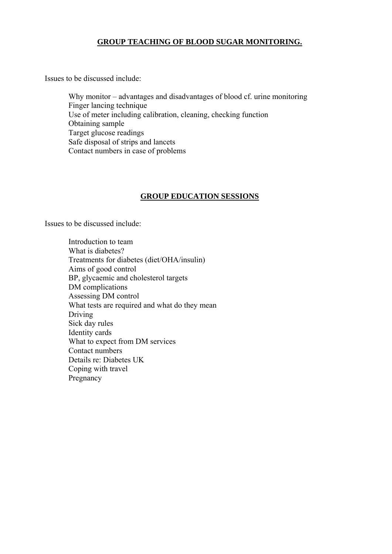#### **GROUP TEACHING OF BLOOD SUGAR MONITORING.**

Issues to be discussed include:

 Why monitor – advantages and disadvantages of blood cf. urine monitoring Finger lancing technique Use of meter including calibration, cleaning, checking function Obtaining sample Target glucose readings Safe disposal of strips and lancets Contact numbers in case of problems

## **GROUP EDUCATION SESSIONS**

Issues to be discussed include:

 Introduction to team What is diabetes? Treatments for diabetes (diet/OHA/insulin) Aims of good control BP, glycaemic and cholesterol targets DM complications Assessing DM control What tests are required and what do they mean Driving Sick day rules Identity cards What to expect from DM services Contact numbers Details re: Diabetes UK Coping with travel Pregnancy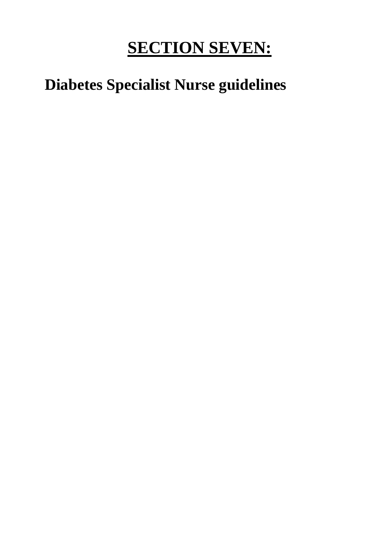# **SECTION SEVEN:**

## **Diabetes Specialist Nurse guidelines**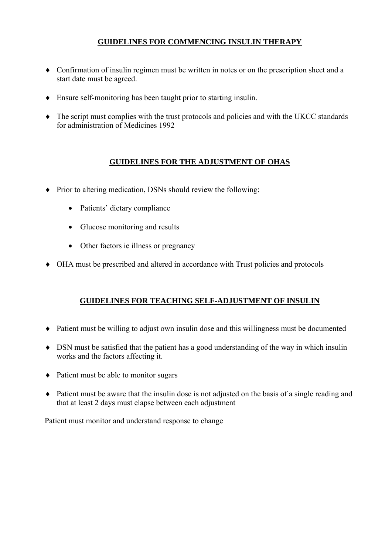## **GUIDELINES FOR COMMENCING INSULIN THERAPY**

- ♦ Confirmation of insulin regimen must be written in notes or on the prescription sheet and a start date must be agreed.
- ♦ Ensure self-monitoring has been taught prior to starting insulin.
- ♦ The script must complies with the trust protocols and policies and with the UKCC standards for administration of Medicines 1992

## **GUIDELINES FOR THE ADJUSTMENT OF OHAS**

- ♦ Prior to altering medication, DSNs should review the following:
	- Patients' dietary compliance
	- Glucose monitoring and results
	- Other factors ie illness or pregnancy
- ♦ OHA must be prescribed and altered in accordance with Trust policies and protocols

## **GUIDELINES FOR TEACHING SELF-ADJUSTMENT OF INSULIN**

- ♦ Patient must be willing to adjust own insulin dose and this willingness must be documented
- ♦ DSN must be satisfied that the patient has a good understanding of the way in which insulin works and the factors affecting it.
- ♦ Patient must be able to monitor sugars
- ♦ Patient must be aware that the insulin dose is not adjusted on the basis of a single reading and that at least 2 days must elapse between each adjustment

Patient must monitor and understand response to change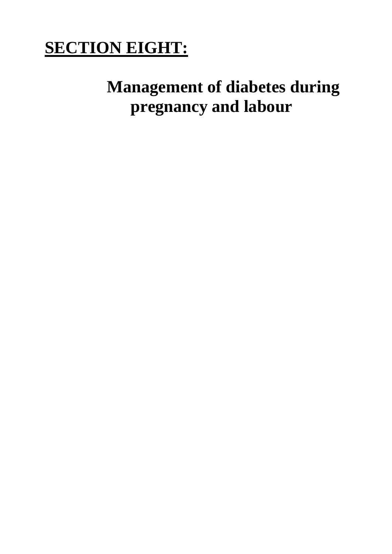# **SECTION EIGHT:**

# **Management of diabetes during pregnancy and labour**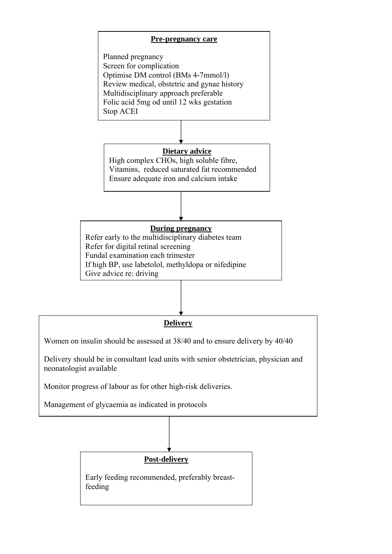

Planned pregnancy Screen for complication Optimise DM control (BMs 4-7mmol/l) Review medical, obstetric and gynae history Multidisciplinary approach preferable Folic acid 5mg od until 12 wks gestation Stop ACEI



High complex CHOs, high soluble fibre, Vitamins, reduced saturated fat recommended Ensure adequate iron and calcium intake



Refer early to the multidisciplinary diabetes team Refer for digital retinal screening Fundal examination each trimester If high BP, use labetolol, methyldopa or nifedipine Give advice re: driving



Women on insulin should be assessed at 38/40 and to ensure delivery by 40/40

Delivery should be in consultant lead units with senior obstetrician, physician and neonatologist available

Monitor progress of labour as for other high-risk deliveries.

Management of glycaemia as indicated in protocols

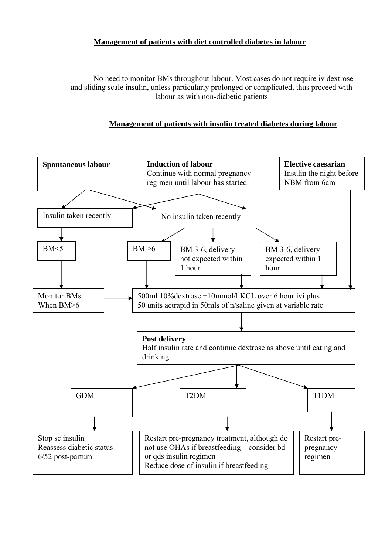## **Management of patients with diet controlled diabetes in labour**

No need to monitor BMs throughout labour. Most cases do not require iv dextrose and sliding scale insulin, unless particularly prolonged or complicated, thus proceed with labour as with non-diabetic patients

## **Management of patients with insulin treated diabetes during labour**

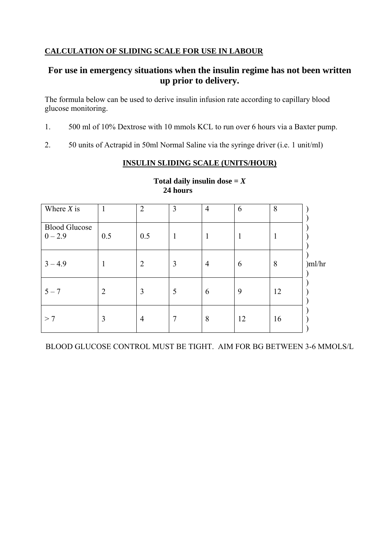## **CALCULATION OF SLIDING SCALE FOR USE IN LABOUR**

## **For use in emergency situations when the insulin regime has not been written up prior to delivery.**

The formula below can be used to derive insulin infusion rate according to capillary blood glucose monitoring.

- 1. 500 ml of 10% Dextrose with 10 mmols KCL to run over 6 hours via a Baxter pump.
- 2. 50 units of Actrapid in 50ml Normal Saline via the syringe driver (i.e. 1 unit/ml)

## **INSULIN SLIDING SCALE (UNITS/HOUR)**

| Where $X$ is                      | $\mathbf{1}$   | $\overline{2}$ | 3            | $\overline{4}$ | 6  | 8  |        |
|-----------------------------------|----------------|----------------|--------------|----------------|----|----|--------|
| <b>Blood Glucose</b><br>$0 - 2.9$ | 0.5            | 0.5            | $\mathbf{1}$ | T              | 1  |    |        |
| $3 - 4.9$                         | -              | $\overline{2}$ | 3            | $\overline{4}$ | 6  | 8  | )ml/hr |
| $5 - 7$                           | $\overline{2}$ | 3              | 5            | 6              | 9  | 12 |        |
| >7                                | 3              | $\overline{4}$ | 7            | 8              | 12 | 16 |        |

Total daily insulin dose  $=X$ **24 hours**

BLOOD GLUCOSE CONTROL MUST BE TIGHT. AIM FOR BG BETWEEN 3-6 MMOLS/L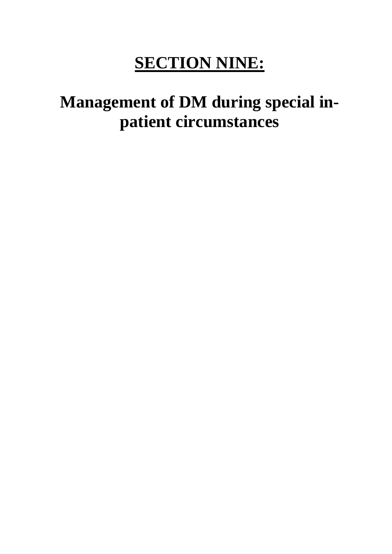# **SECTION NINE:**

# **Management of DM during special inpatient circumstances**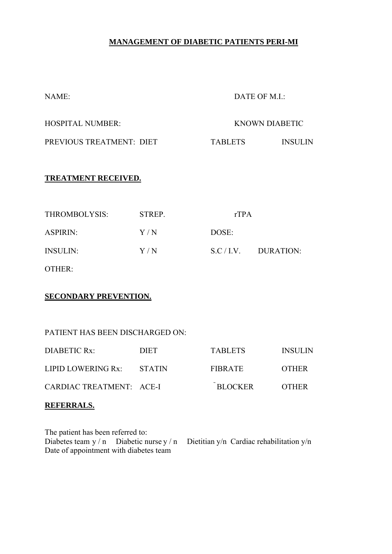## **MANAGEMENT OF DIABETIC PATIENTS PERI-MI**

| NAME:                    | DATE OF M.I.:  |                |
|--------------------------|----------------|----------------|
| HOSPITAL NUMBER:         |                | KNOWN DIABETIC |
| PREVIOUS TREATMENT: DIET | <b>TABLETS</b> | INSUL IN       |

## **TREATMENT RECEIVED.**

| THROMBOLYSIS:   | STREP. | rTPA  |                      |
|-----------------|--------|-------|----------------------|
| <b>ASPIRIN:</b> | Y/N    | DOSE: |                      |
| <b>INSULIN:</b> | Y/N    |       | $S.C/I.V.$ DURATION: |
| OTHER:          |        |       |                      |

#### **SECONDARY PREVENTION.**

## PATIENT HAS BEEN DISCHARGED ON:

| DIABETIC Rx:              | DIET. | <b>TABLETS</b> | <b>INSULIN</b> |
|---------------------------|-------|----------------|----------------|
| LIPID LOWERING Rx: STATIN |       | FIBRATE        | <b>OTHER</b>   |
| CARDIAC TREATMENT: ACE-I  |       | <b>BLOCKER</b> | <b>OTHER</b>   |

## **REFERRALS.**

| The patient has been referred to:      |  |                                                                                       |
|----------------------------------------|--|---------------------------------------------------------------------------------------|
|                                        |  | Diabetes team $y/n$ Diabetic nurse $y/n$ Dietitian $y/n$ Cardiac rehabilitation $y/n$ |
| Date of appointment with diabetes team |  |                                                                                       |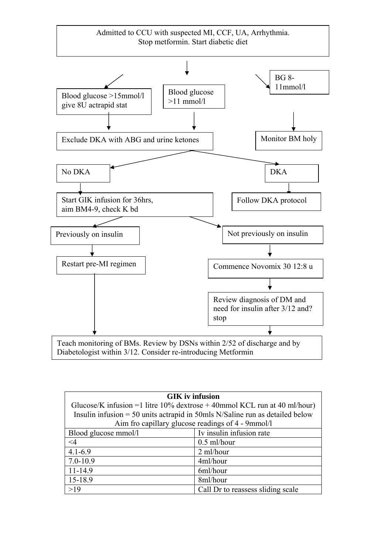

| <b>GIK</b> iv infusion                                                         |                                   |  |
|--------------------------------------------------------------------------------|-----------------------------------|--|
| Glucose/K infusion = 1 litre $10\%$ dextrose + 40mmol KCL run at 40 ml/hour)   |                                   |  |
| Insulin infusion $=$ 50 units actrapid in 50mls N/Saline run as detailed below |                                   |  |
| Aim fro capillary glucose readings of 4 - 9mmol/l                              |                                   |  |
| Blood glucose mmol/l                                                           | Iv insulin infusion rate          |  |
| $\leq$ 4                                                                       | $0.5$ ml/hour                     |  |
| $4.1 - 6.9$                                                                    | 2 ml/hour                         |  |
| $7.0 - 10.9$                                                                   | 4ml/hour                          |  |
| $11 - 14.9$                                                                    | 6ml/hour                          |  |
| 15-18.9                                                                        | 8ml/hour                          |  |
| >19                                                                            | Call Dr to reassess sliding scale |  |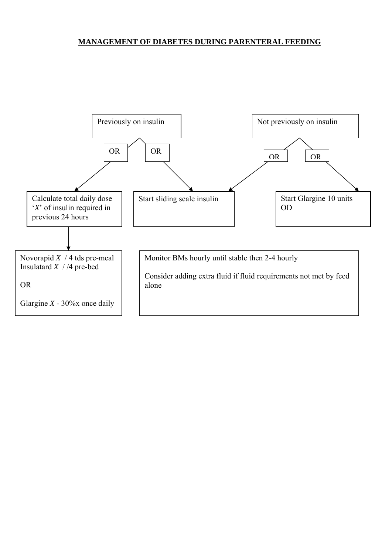## **MANAGEMENT OF DIABETES DURING PARENTERAL FEEDING**

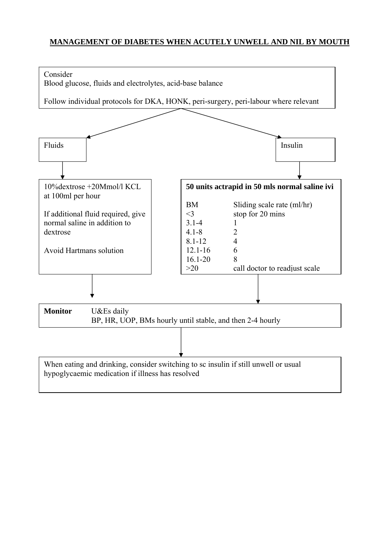## **MANAGEMENT OF DIABETES WHEN ACUTELY UNWELL AND NIL BY MOUTH**

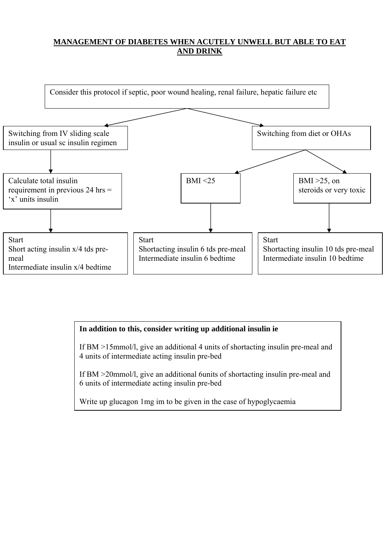## **MANAGEMENT OF DIABETES WHEN ACUTELY UNWELL BUT ABLE TO EAT AND DRINK**



## **In addition to this, consider writing up additional insulin ie**

If BM >15mmol/l, give an additional 4 units of shortacting insulin pre-meal and 4 units of intermediate acting insulin pre-bed

If BM >20mmol/l, give an additional 6units of shortacting insulin pre-meal and 6 units of intermediate acting insulin pre-bed

Write up glucagon 1mg im to be given in the case of hypoglycaemia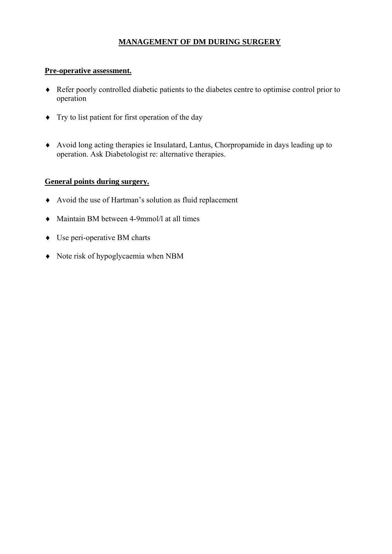## **MANAGEMENT OF DM DURING SURGERY**

### **Pre-operative assessment.**

- ♦ Refer poorly controlled diabetic patients to the diabetes centre to optimise control prior to operation
- ♦ Try to list patient for first operation of the day
- ♦ Avoid long acting therapies ie Insulatard, Lantus, Chorpropamide in days leading up to operation. Ask Diabetologist re: alternative therapies.

## **General points during surgery.**

- ♦ Avoid the use of Hartman's solution as fluid replacement
- ♦ Maintain BM between 4-9mmol/l at all times
- ♦ Use peri-operative BM charts
- ♦ Note risk of hypoglycaemia when NBM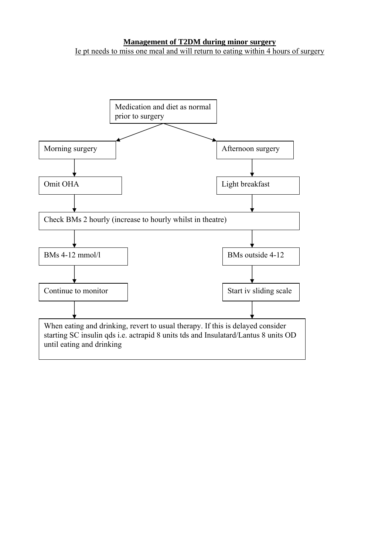#### **Management of T2DM during minor surgery** Ie pt needs to miss one meal and will return to eating within 4 hours of surgery

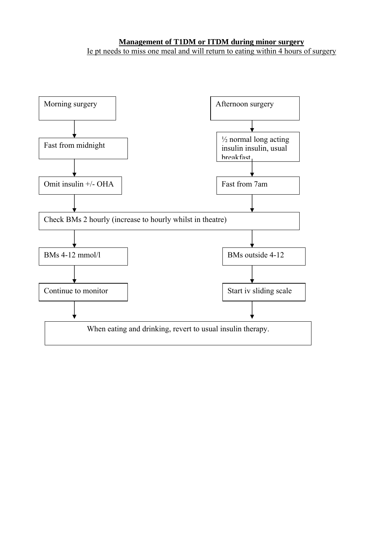## **Management of T1DM or ITDM during minor surgery** Ie pt needs to miss one meal and will return to eating within 4 hours of surgery

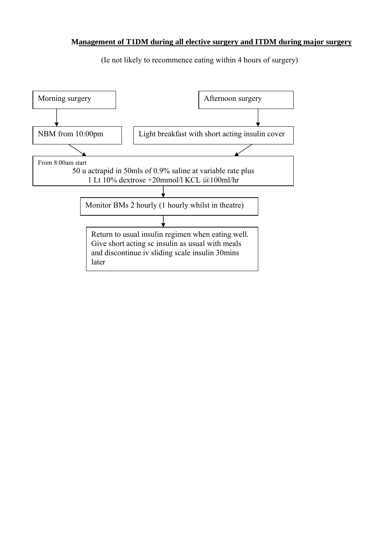#### **Management of T1DM during all elective surgery and ITDM during major surgery**

(Ie not likely to recommence eating within 4 hours of surgery)

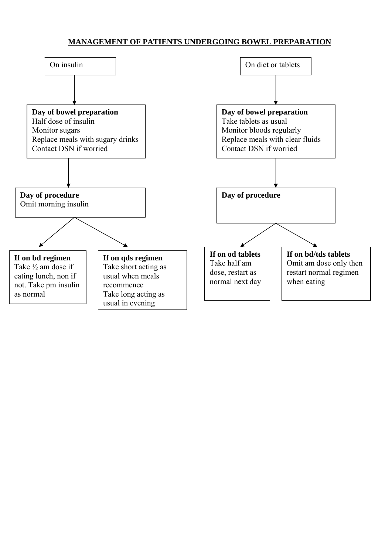## **MANAGEMENT OF PATIENTS UNDERGOING BOWEL PREPARATION**

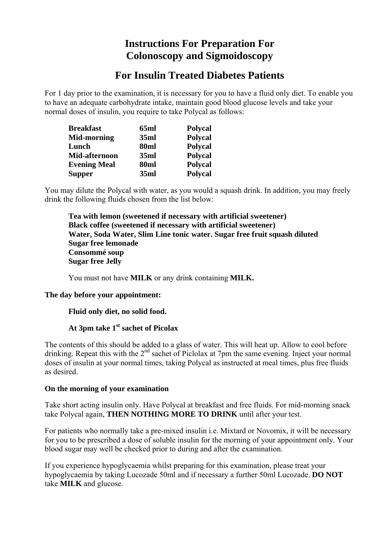## **Instructions For Preparation For Colonoscopy and Sigmoidoscopy**

## **For Insulin Treated Diabetes Patients**

For 1 day prior to the examination, it is necessary for you to have a fluid only diet. To enable you to have an adequate carbohydrate intake, maintain good blood glucose levels and take your normal doses of insulin, you require to take Polycal as follows:

| <b>Breakfast</b>    | 65ml | <b>Polycal</b> |
|---------------------|------|----------------|
| <b>Mid-morning</b>  | 35ml | <b>Polycal</b> |
| Lunch               | 80ml | <b>Polycal</b> |
| Mid-afternoon       | 35ml | <b>Polycal</b> |
| <b>Evening Meal</b> | 80ml | <b>Polycal</b> |
| <b>Supper</b>       | 35ml | <b>Polycal</b> |

You may dilute the Polycal with water, as you would a squash drink. In addition, you may freely drink the following fluids chosen from the list below:

 **Tea with lemon (sweetened if necessary with artificial sweetener) Black coffee (sweetened if necessary with artificial sweetener) Water, Soda Water, Slim Line tonic water. Sugar free fruit squash diluted Sugar free lemonade Consommé soup Sugar free Jelly**

You must not have **MILK** or any drink containing **MILK.**

## **The day before your appointment:**

## **Fluid only diet, no solid food.**

## **At 3pm take 1st sachet of Picolax**

The contents of this should be added to a glass of water. This will heat up. Allow to cool before drinking. Repeat this with the 2<sup>nd</sup> sachet of Piclolax at 7pm the same evening. Inject your normal doses of insulin at your normal times, taking Polycal as instructed at meal times, plus free fluids as desired.

#### **On the morning of your examination**

Take short acting insulin only. Have Polycal at breakfast and free fluids. For mid-morning snack take Polycal again, **THEN NOTHING MORE TO DRINK** until after your test.

For patients who normally take a pre-mixed insulin i.e. Mixtard or Novomix, it will be necessary for you to be prescribed a dose of soluble insulin for the morning of your appointment only. Your blood sugar may well be checked prior to during and after the examination.

If you experience hypoglycaemia whilst preparing for this examination, please treat your hypoglycaemia by taking Lucozade 50ml and if necessary a further 50ml Lucozade. **DO NOT** take **MILK** and glucose.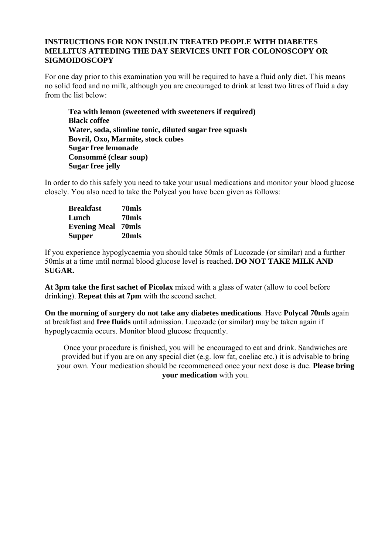#### **INSTRUCTIONS FOR NON INSULIN TREATED PEOPLE WITH DIABETES MELLITUS ATTEDING THE DAY SERVICES UNIT FOR COLONOSCOPY OR SIGMOIDOSCOPY**

For one day prior to this examination you will be required to have a fluid only diet. This means no solid food and no milk, although you are encouraged to drink at least two litres of fluid a day from the list below:

 **Tea with lemon (sweetened with sweeteners if required) Black coffee Water, soda, slimline tonic, diluted sugar free squash Bovril, Oxo, Marmite, stock cubes Sugar free lemonade Consommé (clear soup) Sugar free jelly**

In order to do this safely you need to take your usual medications and monitor your blood glucose closely. You also need to take the Polycal you have been given as follows:

**Breakfast 70mls Lunch 70mls Evening Meal 70mls Supper 20mls**

If you experience hypoglycaemia you should take 50mls of Lucozade (or similar) and a further 50mls at a time until normal blood glucose level is reached**. DO NOT TAKE MILK AND SUGAR.**

**At 3pm take the first sachet of Picolax** mixed with a glass of water (allow to cool before drinking). **Repeat this at 7pm** with the second sachet.

**On the morning of surgery do not take any diabetes medications**. Have **Polycal 70mls** again at breakfast and **free fluids** until admission. Lucozade (or similar) may be taken again if hypoglycaemia occurs. Monitor blood glucose frequently.

Once your procedure is finished, you will be encouraged to eat and drink. Sandwiches are provided but if you are on any special diet (e.g. low fat, coeliac etc.) it is advisable to bring your own. Your medication should be recommenced once your next dose is due. **Please bring your medication** with you.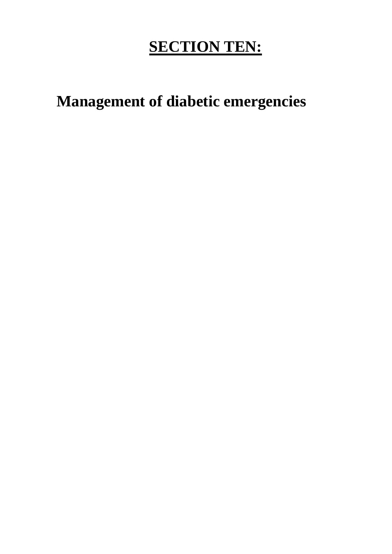# **SECTION TEN:**

**Management of diabetic emergencies**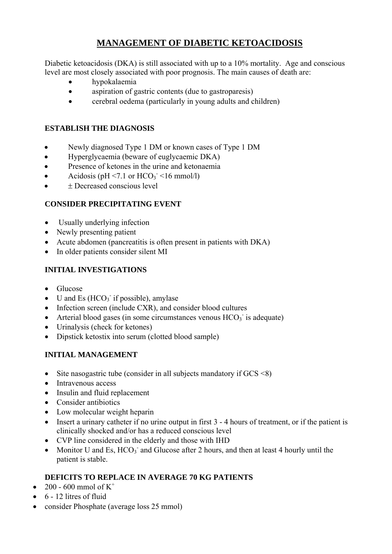## **MANAGEMENT OF DIABETIC KETOACIDOSIS**

Diabetic ketoacidosis (DKA) is still associated with up to a 10% mortality. Age and conscious level are most closely associated with poor prognosis. The main causes of death are:

- hypokalaemia
- aspiration of gastric contents (due to gastroparesis)
- cerebral oedema (particularly in young adults and children)

## **ESTABLISH THE DIAGNOSIS**

- Newly diagnosed Type 1 DM or known cases of Type 1 DM
- Hyperglycaemia (beware of euglycaemic DKA)
- Presence of ketones in the urine and ketonaemia
- Acidosis (pH <7.1 or  $HCO<sub>3</sub>$  <16 mmol/l)
- ± Decreased conscious level

## **CONSIDER PRECIPITATING EVENT**

- Usually underlying infection
- Newly presenting patient
- Acute abdomen (pancreatitis is often present in patients with DKA)
- In older patients consider silent MI

## **INITIAL INVESTIGATIONS**

- Glucose
- $\bullet$  U and Es (HCO<sub>3</sub> if possible), amylase
- Infection screen (include CXR), and consider blood cultures
- Arterial blood gases (in some circumstances venous  $HCO<sub>3</sub>$  is adequate)
- Urinalysis (check for ketones)
- Dipstick ketostix into serum (clotted blood sample)

## **INITIAL MANAGEMENT**

- Site nasogastric tube (consider in all subjects mandatory if  $GCS \le 8$ )
- Intravenous access
- Insulin and fluid replacement
- Consider antibiotics
- Low molecular weight heparin
- Insert a urinary catheter if no urine output in first 3 4 hours of treatment, or if the patient is clinically shocked and/or has a reduced conscious level
- CVP line considered in the elderly and those with IHD
- Monitor U and Es,  $HCO_3^-$  and Glucose after 2 hours, and then at least 4 hourly until the patient is stable.

## **DEFICITS TO REPLACE IN AVERAGE 70 KG PATIENTS**

- 200 600 mmol of  $K^+$
- $\bullet$  6 12 litres of fluid
- consider Phosphate (average loss 25 mmol)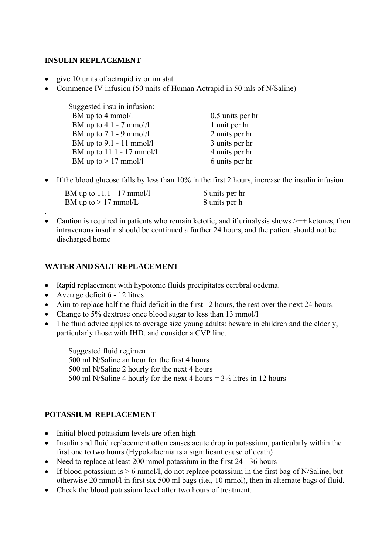## **INSULIN REPLACEMENT**

- give 10 units of actrapid iv or im stat
- Commence IV infusion (50 units of Human Actrapid in 50 mls of N/Saline)

| Suggested insulin infusion: |                  |
|-----------------------------|------------------|
| BM up to 4 mmol/l           | 0.5 units per hr |
| BM up to $4.1 - 7$ mmol/l   | 1 unit per hr    |
| BM up to $7.1 - 9$ mmol/l   | 2 units per hr   |
| BM up to $9.1 - 11$ mmol/l  | 3 units per hr   |
| BM up to 11.1 - 17 mmol/l   | 4 units per hr   |
| BM up to $> 17$ mmol/l      | 6 units per hr   |

• If the blood glucose falls by less than 10% in the first 2 hours, increase the insulin infusion

| BM up to $11.1 - 17$ mmol/l | 6 units per hr |
|-----------------------------|----------------|
| BM up to $> 17$ mmol/L      | 8 units per h  |

• Caution is required in patients who remain ketotic, and if urinalysis shows  $\geq ++$  ketones, then intravenous insulin should be continued a further 24 hours, and the patient should not be discharged home

## **WATER AND SALT REPLACEMENT**

- Rapid replacement with hypotonic fluids precipitates cerebral oedema.
- Average deficit 6 12 litres

.

- Aim to replace half the fluid deficit in the first 12 hours, the rest over the next 24 hours.
- Change to 5% dextrose once blood sugar to less than 13 mmol/l
- The fluid advice applies to average size young adults: beware in children and the elderly, particularly those with IHD, and consider a CVP line.

Suggested fluid regimen 500 ml N/Saline an hour for the first 4 hours 500 ml N/Saline 2 hourly for the next 4 hours 500 ml N/Saline 4 hourly for the next 4 hours  $= 3\frac{1}{2}$  litres in 12 hours

## **POTASSIUM REPLACEMENT**

- Initial blood potassium levels are often high
- Insulin and fluid replacement often causes acute drop in potassium, particularly within the first one to two hours (Hypokalaemia is a significant cause of death)
- Need to replace at least 200 mmol potassium in the first 24 36 hours
- If blood potassium is  $> 6$  mmol/l, do not replace potassium in the first bag of N/Saline, but otherwise 20 mmol/l in first six 500 ml bags (i.e., 10 mmol), then in alternate bags of fluid.
- Check the blood potassium level after two hours of treatment.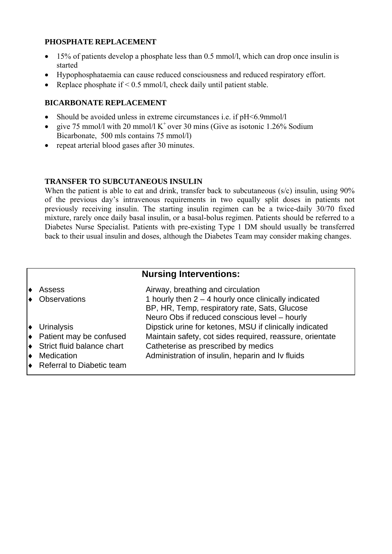## **PHOSPHATE REPLACEMENT**

- 15% of patients develop a phosphate less than 0.5 mmol/l, which can drop once insulin is started
- Hypophosphataemia can cause reduced consciousness and reduced respiratory effort.
- Replace phosphate if  $\leq 0.5$  mmol/l, check daily until patient stable.

## **BICARBONATE REPLACEMENT**

- Should be avoided unless in extreme circumstances i.e. if pH<6.9mmol/l
- give 75 mmol/l with 20 mmol/l  $K^+$  over 30 mins (Give as isotonic 1.26% Sodium Bicarbonate, 500 mls contains 75 mmol/l)
- repeat arterial blood gases after 30 minutes.

## **TRANSFER TO SUBCUTANEOUS INSULIN**

When the patient is able to eat and drink, transfer back to subcutaneous (s/c) insulin, using 90% of the previous day's intravenous requirements in two equally split doses in patients not previously receiving insulin. The starting insulin regimen can be a twice-daily 30/70 fixed mixture, rarely once daily basal insulin, or a basal-bolus regimen. Patients should be referred to a Diabetes Nurse Specialist. Patients with pre-existing Type 1 DM should usually be transferred back to their usual insulin and doses, although the Diabetes Team may consider making changes.

## **Nursing Interventions:**

|   | Assess                                           | Airway, breathing and circulation                        |
|---|--------------------------------------------------|----------------------------------------------------------|
|   | <b>Observations</b>                              | 1 hourly then $2 - 4$ hourly once clinically indicated   |
|   |                                                  | BP, HR, Temp, respiratory rate, Sats, Glucose            |
|   |                                                  | Neuro Obs if reduced conscious level - hourly            |
|   | $\blacktriangleright$ Urinalysis                 | Dipstick urine for ketones, MSU if clinically indicated  |
|   | $\leftrightarrow$ Patient may be confused        | Maintain safety, cot sides required, reassure, orientate |
|   | $\blacktriangleright$ Strict fluid balance chart | Catheterise as prescribed by medics                      |
| ♦ | Medication                                       | Administration of insulin, heparin and Iv fluids         |
|   | $\blacktriangleright$ Referral to Diabetic team  |                                                          |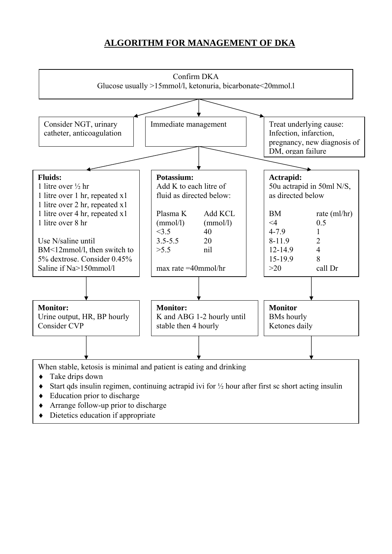## **ALGORITHM FOR MANAGEMENT OF DKA**



♦ Dietetics education if appropriate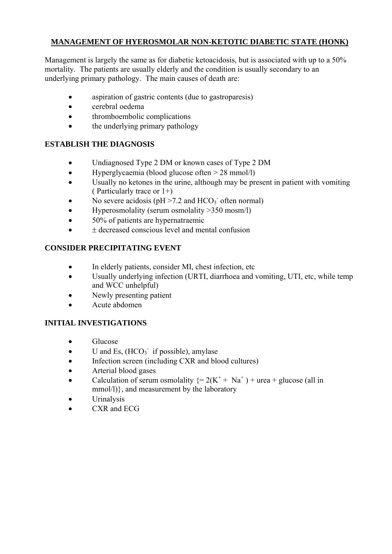## **MANAGEMENT OF HYEROSMOLAR NON-KETOTIC DIABETIC STATE (HONK)**

Management is largely the same as for diabetic ketoacidosis, but is associated with up to a 50% mortality. The patients are usually elderly and the condition is usually secondary to an underlying primary pathology. The main causes of death are:

- aspiration of gastric contents (due to gastroparesis)
- cerebral oedema
- thromboembolic complications
- the underlying primary pathology

## **ESTABLISH THE DIAGNOSIS**

- Undiagnosed Type 2 DM or known cases of Type 2 DM
- Hyperglycaemia (blood glucose often > 28 mmol/l)
- Usually no ketones in the urine, although may be present in patient with vomiting ( Particularly trace or 1+)
- No severe acidosis ( $pH > 7.2$  and  $HCO<sub>3</sub>$ <sup>-</sup> often normal)
- Hyperosmolality (serum osmolality > 350 mosm/l)
- 50% of patients are hypernatraemic
- $\pm$  decreased conscious level and mental confusion

## **CONSIDER PRECIPITATING EVENT**

- In elderly patients, consider MI, chest infection, etc
- Usually underlying infection (URTI, diarrhoea and vomiting, UTI, etc, while temp and WCC unhelpful)
- Newly presenting patient
- Acute abdomen

## **INITIAL INVESTIGATIONS**

- Glucose
- $\bullet$  U and Es,  $(HCO_3^-$  if possible), amylase
- Infection screen (including CXR and blood cultures)
- Arterial blood gases
- Calculation of serum osmolality  $\{ = 2(K^+ + Na^+) + \text{urea} + \text{glucose (all in} \}$ mmol/l)}, and measurement by the laboratory
- **Urinalysis**
- CXR and ECG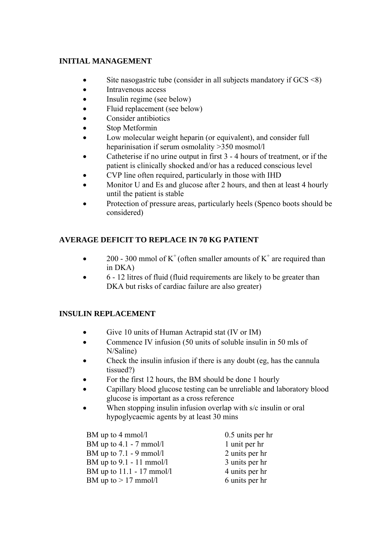## **INITIAL MANAGEMENT**

- Site nasogastric tube (consider in all subjects mandatory if  $GCS \le 8$ )
- Intravenous access
- Insulin regime (see below)
- Fluid replacement (see below)
- Consider antibiotics
- Stop Metformin
- Low molecular weight heparin (or equivalent), and consider full heparinisation if serum osmolality >350 mosmol/l
- Catheterise if no urine output in first 3 4 hours of treatment, or if the patient is clinically shocked and/or has a reduced conscious level
- CVP line often required, particularly in those with IHD
- Monitor U and Es and glucose after 2 hours, and then at least 4 hourly until the patient is stable
- Protection of pressure areas, particularly heels (Spenco boots should be considered)

## **AVERAGE DEFICIT TO REPLACE IN 70 KG PATIENT**

- 200 300 mmol of  $K^+$  (often smaller amounts of  $K^+$  are required than in DKA)
- 6 12 litres of fluid (fluid requirements are likely to be greater than DKA but risks of cardiac failure are also greater)

## **INSULIN REPLACEMENT**

- Give 10 units of Human Actrapid stat (IV or IM)
- Commence IV infusion (50 units of soluble insulin in 50 mls of N/Saline)
- Check the insulin infusion if there is any doubt (eg, has the cannula tissued?)
- For the first 12 hours, the BM should be done 1 hourly
- Capillary blood glucose testing can be unreliable and laboratory blood glucose is important as a cross reference
- When stopping insulin infusion overlap with s/c insulin or oral hypoglycaemic agents by at least 30 mins

BM up to 4 mmol/l 0.5 units per hr BM up to  $4.1 - 7$  mmol/l 1 unit per hr BM up to  $7.1 - 9$  mmol/l  $2$  units per hr BM up to  $9.1 - 11$  mmol/l  $3$  units per hr BM up to  $11.1 - 17$  mmol/l  $4 \text{ units per hr}$ BM up to  $> 17$  mmol/l 6 units per hr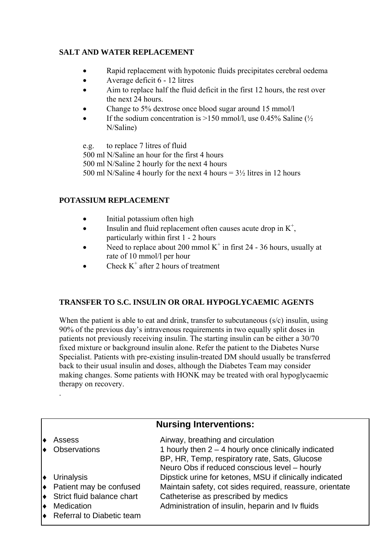## **SALT AND WATER REPLACEMENT**

- Rapid replacement with hypotonic fluids precipitates cerebral oedema
- Average deficit 6 12 litres
- Aim to replace half the fluid deficit in the first 12 hours, the rest over the next 24 hours.
- Change to 5% dextrose once blood sugar around 15 mmol/l
- If the sodium concentration is  $>150$  mmol/l, use 0.45% Saline ( $\frac{1}{2}$ ) N/Saline)

e.g. to replace 7 litres of fluid 500 ml N/Saline an hour for the first 4 hours 500 ml N/Saline 2 hourly for the next 4 hours 500 ml N/Saline 4 hourly for the next 4 hours  $= 3\frac{1}{2}$  litres in 12 hours

## **POTASSIUM REPLACEMENT**

.

- Initial potassium often high
- Insulin and fluid replacement often causes acute drop in  $K^+$ , particularly within first 1 - 2 hours
- Need to replace about 200 mmol  $K^+$  in first 24 36 hours, usually at rate of 10 mmol/l per hour
- Check  $K^+$  after 2 hours of treatment

## **TRANSFER TO S.C. INSULIN OR ORAL HYPOGLYCAEMIC AGENTS**

When the patient is able to eat and drink, transfer to subcutaneous (s/c) insulin, using 90% of the previous day's intravenous requirements in two equally split doses in patients not previously receiving insulin. The starting insulin can be either a 30/70 fixed mixture or background insulin alone. Refer the patient to the Diabetes Nurse Specialist. Patients with pre-existing insulin-treated DM should usually be transferred back to their usual insulin and doses, although the Diabetes Team may consider making changes. Some patients with HONK may be treated with oral hypoglycaemic therapy on recovery.

## **Nursing Interventions:**

|           | Assess<br><b>Observations</b>        | Airway, breathing and circulation<br>1 hourly then $2 - 4$ hourly once clinically indicated    |
|-----------|--------------------------------------|------------------------------------------------------------------------------------------------|
|           |                                      | BP, HR, Temp, respiratory rate, Sats, Glucose<br>Neuro Obs if reduced conscious level - hourly |
|           | $\bullet$ Urinalysis                 | Dipstick urine for ketones, MSU if clinically indicated                                        |
|           | $\bullet$ Patient may be confused    | Maintain safety, cot sides required, reassure, orientate                                       |
|           | $\bullet$ Strict fluid balance chart | Catheterise as prescribed by medics                                                            |
| $\bullet$ | Medication                           | Administration of insulin, heparin and Iv fluids                                               |
|           | ♦ Referral to Diabetic team          |                                                                                                |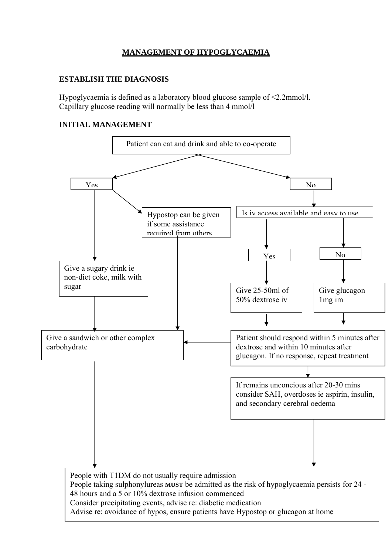## **MANAGEMENT OF HYPOGLYCAEMIA**

## **ESTABLISH THE DIAGNOSIS**

Hypoglycaemia is defined as a laboratory blood glucose sample of <2.2mmol/l. Capillary glucose reading will normally be less than 4 mmol/l

## **INITIAL MANAGEMENT**